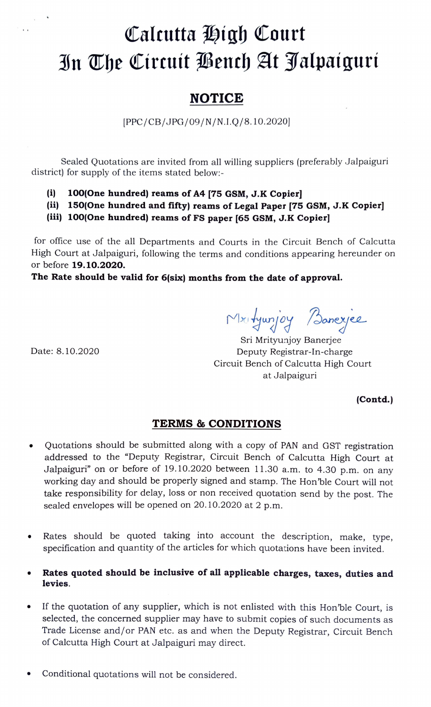## Calcutta High Court Bn The Circuit Bench At Jalpaiguri

## NOTICE

PPC/CB/JPG/09/N/N.I.Q/8.10.2020]

Sealed Quotations are invited from all willing suppliers (preferably Jalpaiguri district) for supply of the items stated below:

- (i) 100(0ne hundred) reams of A4 [75 GSM, J.K Copier]
- (ii) 150(One hundred and fifty) reams of Legal Paper [75 GSM, J.K Copier]
- (ii) 100(0ne hundred) reams of FS paper [65 GSM, J.K Copier]

for office use of the all Departments and Courts in the Circuit Bench of Calcutta High Court at Jalpaiguri, following the terms and conditions appearing hereunder on or before 19.10.2020.

## The Rate should be valid for 6(six) months from the date of approval.

Mxityunjoy Banexjee

Date: 8.10.2020

 $\ddot{\phantom{1}}$ 

Sri Mrityunjoy Banerjee Deputy Registrar-In-charge Circuit Bench of Calcutta High Court at Jalpaiguri

(Contd.)

## TERMS& CONDITIONS

- Quotations should be submitted along with a copy of PAN and GST registration addressed to the "Deputy Registrar, Circuit Bench of Calcutta High Court at Jalpaiguri" on or before of 19.10.2020 between 11.30 a.m. to 4.30 p.m. on any working day and should be properly signed and stamp. The Hon'ble Court will not take responsibility for delay, loss or non received quotation send by the post. The sealed envelopes will be opened on 20.10.2020 at 2 p.m.
- Rates should be quoted taking into account the description, make, type, specification and quantity of the articles for which quotations have been invited.
- Rates quoted should be inclusive of all applicable charges, taxes, duties and levies.
- If the quotation of any supplier, which is not enlisted with this Hon'ble Court, is selected, the concerned supplier may have to submit copies of such documents as Trade License and/or PAN etc. as and when the Deputy Registrar, Circuit Bench of Calcutta High Court at Jalpaiguri may direct.
- Conditional quotations will not be considered.